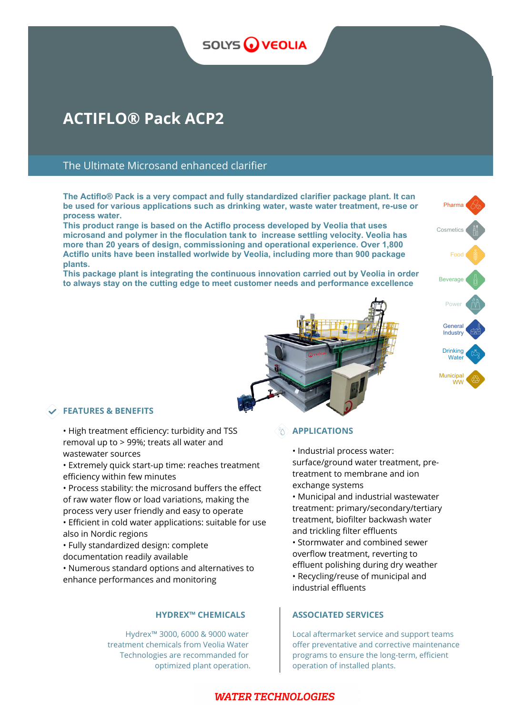# **SOLYS WEOLIA**

# **ACTIFLO® Pack ACP2**

## The Ultimate Microsand enhanced clarifier

**The Actiflo® Pack is a very compact and fully standardized clarifier package plant. It can be used for various applications such as drinking water, waste water treatment, re-use or process water.** 

**This product range is based on the Actiflo process developed by Veolia that uses microsand and polymer in the floculation tank to increase settling velocity. Veolia has more than 20 years of design, commissioning and operational experience. Over 1,800 Actiflo units have been installed worlwide by Veolia, including more than 900 package plants.** 

**This package plant is integrating the continuous innovation carried out by Veolia in order to always stay on the cutting edge to meet customer needs and performance excellence**



### **FEATURES & BENEFITS**

- High treatment efficiency: turbidity and TSS removal up to > 99%; treats all water and wastewater sources
- Extremely quick start-up time: reaches treatment efficiency within few minutes
- Process stability: the microsand buffers the effect of raw water flow or load variations, making the process very user friendly and easy to operate
- Efficient in cold water applications: suitable for use also in Nordic regions
- Fully standardized design: complete documentation readily available
- Numerous standard options and alternatives to enhance performances and monitoring

Hydrex™ 3000, 6000 & 9000 water treatment chemicals from Veolia Water Technologies are recommanded for optimized plant operation.

### *APPLICATIONS*

• Industrial process water: surface/ground water treatment, pretreatment to membrane and ion exchange systems

• Municipal and industrial wastewater treatment: primary/secondary/tertiary treatment, biofilter backwash water and trickling filter effluents • Stormwater and combined sewer overflow treatment, reverting to effluent polishing during dry weather • Recycling/reuse of municipal and

### **HYDREX™ CHEMICALS ASSOCIATED SERVICES**

industrial effluents

Local aftermarket service and support teams offer preventative and corrective maintenance programs to ensure the long-term, efficient operation of installed plants.

## **WATER TECHNOLOGIES**